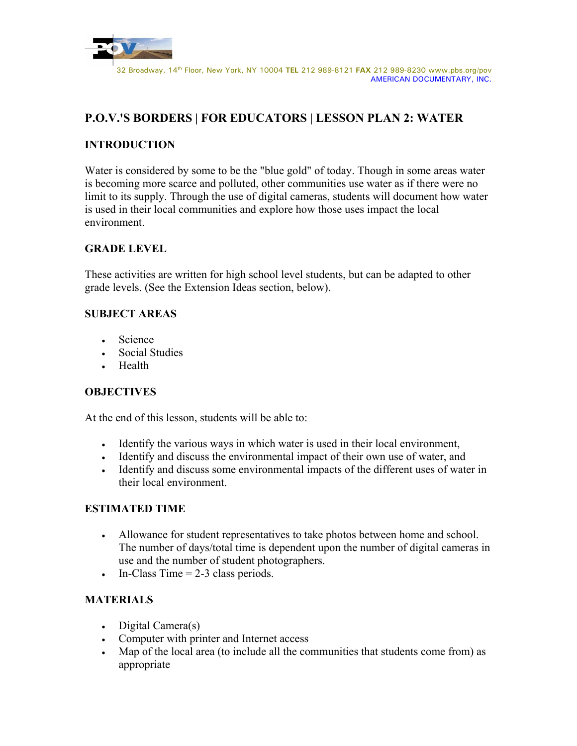

# **P.O.V.'S BORDERS | FOR EDUCATORS | LESSON PLAN 2: WATER**

# **INTRODUCTION**

Water is considered by some to be the "blue gold" of today. Though in some areas water is becoming more scarce and polluted, other communities use water as if there were no limit to its supply. Through the use of digital cameras, students will document how water is used in their local communities and explore how those uses impact the local environment.

# **GRADE LEVEL**

These activities are written for high school level students, but can be adapted to other grade levels. (See the Extension Ideas section, below).

## **SUBJECT AREAS**

- Science
- Social Studies
- Health

## **OBJECTIVES**

At the end of this lesson, students will be able to:

- Identify the various ways in which water is used in their local environment,
- Identify and discuss the environmental impact of their own use of water, and
- Identify and discuss some environmental impacts of the different uses of water in their local environment.

## **ESTIMATED TIME**

- Allowance for student representatives to take photos between home and school. The number of days/total time is dependent upon the number of digital cameras in use and the number of student photographers.
- In-Class Time  $= 2-3$  class periods.

## **MATERIALS**

- Digital Camera(s)
- Computer with printer and Internet access
- Map of the local area (to include all the communities that students come from) as appropriate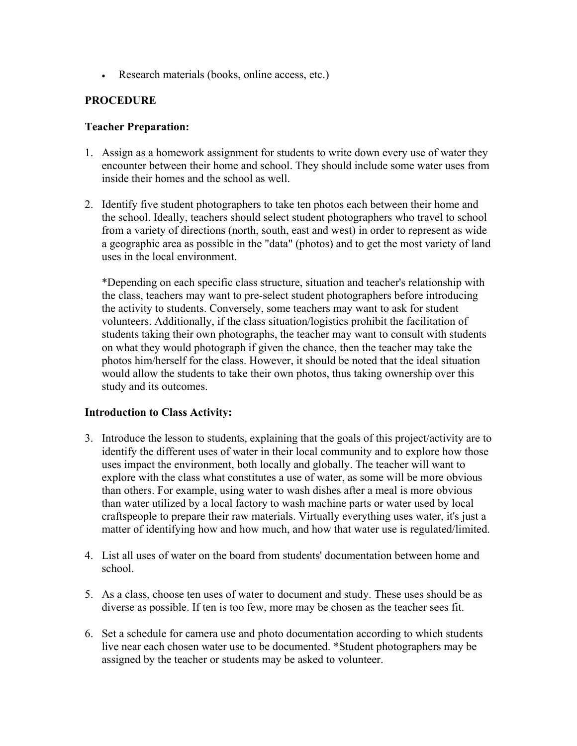• Research materials (books, online access, etc.)

## **PROCEDURE**

#### **Teacher Preparation:**

- 1. Assign as a homework assignment for students to write down every use of water they encounter between their home and school. They should include some water uses from inside their homes and the school as well.
- 2. Identify five student photographers to take ten photos each between their home and the school. Ideally, teachers should select student photographers who travel to school from a variety of directions (north, south, east and west) in order to represent as wide a geographic area as possible in the "data" (photos) and to get the most variety of land uses in the local environment.

\*Depending on each specific class structure, situation and teacher's relationship with the class, teachers may want to pre-select student photographers before introducing the activity to students. Conversely, some teachers may want to ask for student volunteers. Additionally, if the class situation/logistics prohibit the facilitation of students taking their own photographs, the teacher may want to consult with students on what they would photograph if given the chance, then the teacher may take the photos him/herself for the class. However, it should be noted that the ideal situation would allow the students to take their own photos, thus taking ownership over this study and its outcomes.

## **Introduction to Class Activity:**

- 3. Introduce the lesson to students, explaining that the goals of this project/activity are to identify the different uses of water in their local community and to explore how those uses impact the environment, both locally and globally. The teacher will want to explore with the class what constitutes a use of water, as some will be more obvious than others. For example, using water to wash dishes after a meal is more obvious than water utilized by a local factory to wash machine parts or water used by local craftspeople to prepare their raw materials. Virtually everything uses water, it's just a matter of identifying how and how much, and how that water use is regulated/limited.
- 4. List all uses of water on the board from students' documentation between home and school.
- 5. As a class, choose ten uses of water to document and study. These uses should be as diverse as possible. If ten is too few, more may be chosen as the teacher sees fit.
- 6. Set a schedule for camera use and photo documentation according to which students live near each chosen water use to be documented. \*Student photographers may be assigned by the teacher or students may be asked to volunteer.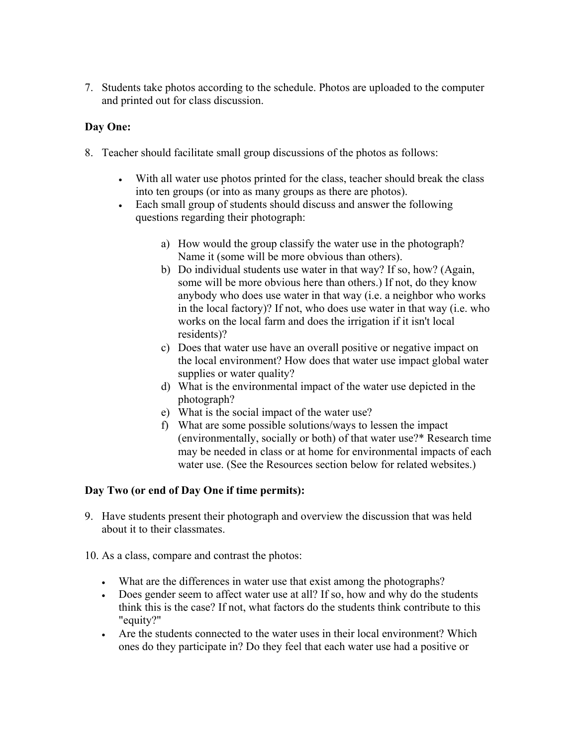7. Students take photos according to the schedule. Photos are uploaded to the computer and printed out for class discussion.

## **Day One:**

- 8. Teacher should facilitate small group discussions of the photos as follows:
	- With all water use photos printed for the class, teacher should break the class into ten groups (or into as many groups as there are photos).
	- Each small group of students should discuss and answer the following questions regarding their photograph:
		- a) How would the group classify the water use in the photograph? Name it (some will be more obvious than others).
		- b) Do individual students use water in that way? If so, how? (Again, some will be more obvious here than others.) If not, do they know anybody who does use water in that way (i.e. a neighbor who works in the local factory)? If not, who does use water in that way (i.e. who works on the local farm and does the irrigation if it isn't local residents)?
		- c) Does that water use have an overall positive or negative impact on the local environment? How does that water use impact global water supplies or water quality?
		- d) What is the environmental impact of the water use depicted in the photograph?
		- e) What is the social impact of the water use?
		- f) What are some possible solutions/ways to lessen the impact (environmentally, socially or both) of that water use?\* Research time may be needed in class or at home for environmental impacts of each water use. (See the Resources section below for related websites.)

## **Day Two (or end of Day One if time permits):**

- 9. Have students present their photograph and overview the discussion that was held about it to their classmates.
- 10. As a class, compare and contrast the photos:
	- What are the differences in water use that exist among the photographs?
	- Does gender seem to affect water use at all? If so, how and why do the students think this is the case? If not, what factors do the students think contribute to this "equity?"
	- Are the students connected to the water uses in their local environment? Which ones do they participate in? Do they feel that each water use had a positive or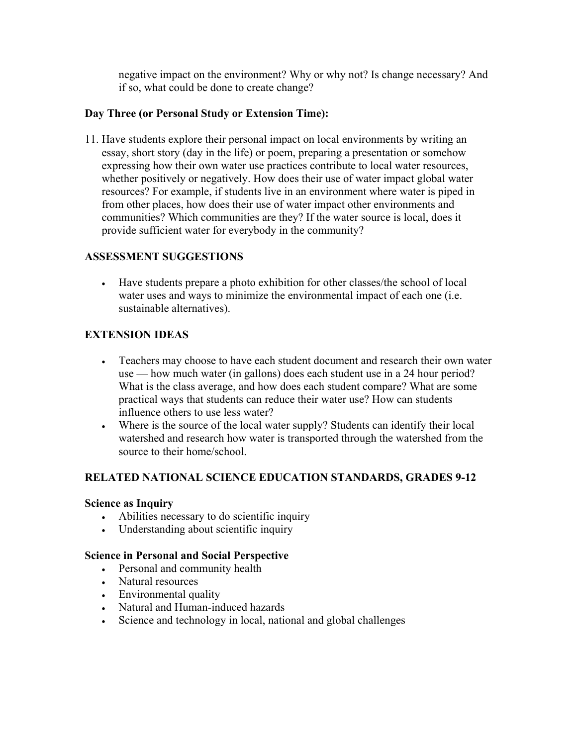negative impact on the environment? Why or why not? Is change necessary? And if so, what could be done to create change?

## **Day Three (or Personal Study or Extension Time):**

11. Have students explore their personal impact on local environments by writing an essay, short story (day in the life) or poem, preparing a presentation or somehow expressing how their own water use practices contribute to local water resources, whether positively or negatively. How does their use of water impact global water resources? For example, if students live in an environment where water is piped in from other places, how does their use of water impact other environments and communities? Which communities are they? If the water source is local, does it provide sufficient water for everybody in the community?

## **ASSESSMENT SUGGESTIONS**

• Have students prepare a photo exhibition for other classes/the school of local water uses and ways to minimize the environmental impact of each one (i.e. sustainable alternatives).

# **EXTENSION IDEAS**

- Teachers may choose to have each student document and research their own water use — how much water (in gallons) does each student use in a 24 hour period? What is the class average, and how does each student compare? What are some practical ways that students can reduce their water use? How can students influence others to use less water?
- Where is the source of the local water supply? Students can identify their local watershed and research how water is transported through the watershed from the source to their home/school.

## **RELATED NATIONAL SCIENCE EDUCATION STANDARDS, GRADES 9-12**

#### **Science as Inquiry**

- Abilities necessary to do scientific inquiry
- Understanding about scientific inquiry

#### **Science in Personal and Social Perspective**

- Personal and community health
- Natural resources
- Environmental quality
- Natural and Human-induced hazards
- Science and technology in local, national and global challenges